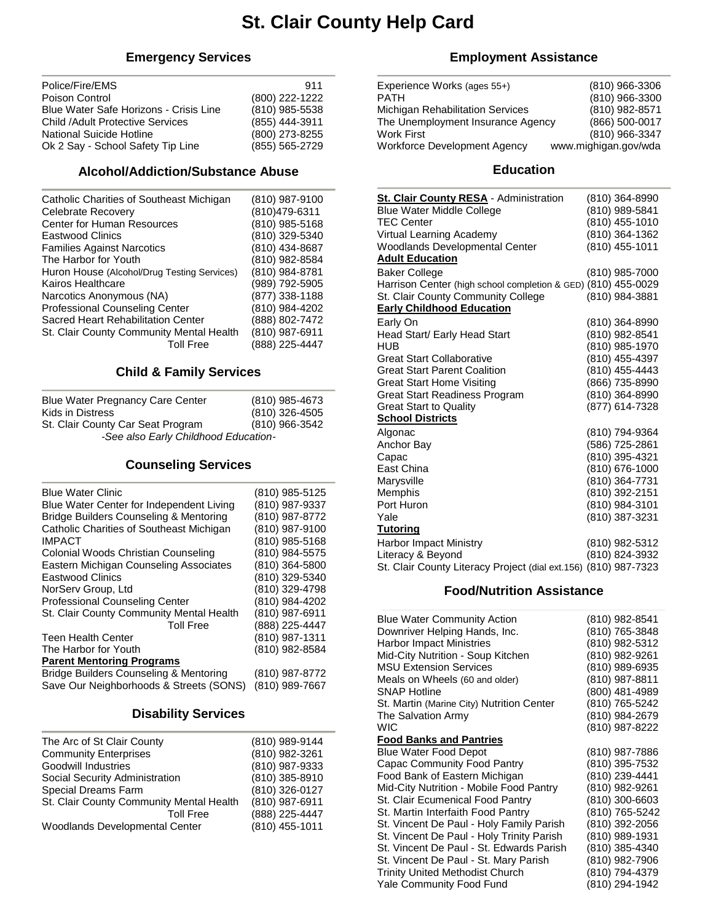# **St. Clair County Help Card**

## **Emergency Services**

| 911            |
|----------------|
| (800) 222-1222 |
| (810) 985-5538 |
| (855) 444-3911 |
| (800) 273-8255 |
| (855) 565-2729 |
|                |

#### **Alcohol/Addiction/Substance Abuse**

## **Child & Family Services**

| <b>Blue Water Pregnancy Care Center</b> | (810) 985-4673 |  |
|-----------------------------------------|----------------|--|
| Kids in Distress                        | (810) 326-4505 |  |
| St. Clair County Car Seat Program       | (810) 966-3542 |  |
| -See also Early Childhood Education-    |                |  |

## **Counseling Services**

| <b>Blue Water Clinic</b>                 | (810) 985-5125 |
|------------------------------------------|----------------|
| Blue Water Center for Independent Living | (810) 987-9337 |
| Bridge Builders Counseling & Mentoring   | (810) 987-8772 |
| Catholic Charities of Southeast Michigan | (810) 987-9100 |
| <b>IMPACT</b>                            | (810) 985-5168 |
| Colonial Woods Christian Counseling      | (810) 984-5575 |
| Eastern Michigan Counseling Associates   | (810) 364-5800 |
| <b>Eastwood Clinics</b>                  | (810) 329-5340 |
| NorServ Group, Ltd                       | (810) 329-4798 |
| <b>Professional Counseling Center</b>    | (810) 984-4202 |
| St. Clair County Community Mental Health | (810) 987-6911 |
| <b>Toll Free</b>                         | (888) 225-4447 |
| <b>Teen Health Center</b>                | (810) 987-1311 |
| The Harbor for Youth                     | (810) 982-8584 |
| <b>Parent Mentoring Programs</b>         |                |
| Bridge Builders Counseling & Mentoring   | (810) 987-8772 |
| Save Our Neighborhoods & Streets (SONS)  | (810) 989-7667 |

## **Disability Services**

| The Arc of St Clair County               | (810) 989-9144 |
|------------------------------------------|----------------|
| <b>Community Enterprises</b>             | (810) 982-3261 |
| Goodwill Industries                      | (810) 987-9333 |
| Social Security Administration           | (810) 385-8910 |
| Special Dreams Farm                      | (810) 326-0127 |
| St. Clair County Community Mental Health | (810) 987-6911 |
| <b>Toll Free</b>                         | (888) 225-4447 |
| Woodlands Developmental Center           | (810) 455-1011 |
|                                          |                |

## **Employment Assistance**

| Experience Works (ages 55+)       | (810) 966-3306       |
|-----------------------------------|----------------------|
| <b>PATH</b>                       | (810) 966-3300       |
| Michigan Rehabilitation Services  | (810) 982-8571       |
| The Unemployment Insurance Agency | (866) 500-0017       |
| Work First                        | (810) 966-3347       |
| Workforce Development Agency      | www.mighigan.gov/wda |

### **Education**

| <b>St. Clair County RESA</b> - Administration                   | (810) 364-8990 |
|-----------------------------------------------------------------|----------------|
| <b>Blue Water Middle College</b>                                | (810) 989-5841 |
| <b>TEC Center</b>                                               | (810) 455-1010 |
| Virtual Learning Academy                                        | (810) 364-1362 |
| Woodlands Developmental Center                                  | (810) 455-1011 |
| <b>Adult Education</b>                                          |                |
| <b>Baker College</b>                                            | (810) 985-7000 |
| Harrison Center (high school completion & GED) (810) 455-0029   |                |
| St. Clair County Community College                              | (810) 984-3881 |
| <b>Early Childhood Education</b>                                |                |
| Early On                                                        | (810) 364-8990 |
| Head Start/ Early Head Start                                    | (810) 982-8541 |
| HUB                                                             | (810) 985-1970 |
| <b>Great Start Collaborative</b>                                | (810) 455-4397 |
| <b>Great Start Parent Coalition</b>                             | (810) 455-4443 |
| <b>Great Start Home Visiting</b>                                | (866) 735-8990 |
| <b>Great Start Readiness Program</b>                            | (810) 364-8990 |
| <b>Great Start to Quality</b>                                   | (877) 614-7328 |
| <b>School Districts</b>                                         |                |
| Algonac                                                         | (810) 794-9364 |
| Anchor Bay                                                      | (586) 725-2861 |
| Capac                                                           | (810) 395-4321 |
| East China                                                      | (810) 676-1000 |
| Marysville                                                      | (810) 364-7731 |
| Memphis                                                         | (810) 392-2151 |
| Port Huron                                                      | (810) 984-3101 |
| Yale                                                            | (810) 387-3231 |
| <b>Tutoring</b>                                                 |                |
| <b>Harbor Impact Ministry</b>                                   | (810) 982-5312 |
| Literacy & Beyond                                               | (810) 824-3932 |
| St. Clair County Literacy Project (dial ext.156) (810) 987-7323 |                |

## **Food/Nutrition Assistance**

| <b>Blue Water Community Action</b>        | (810) 982-8541 |
|-------------------------------------------|----------------|
| Downriver Helping Hands, Inc.             | (810) 765-3848 |
| <b>Harbor Impact Ministries</b>           | (810) 982-5312 |
| Mid-City Nutrition - Soup Kitchen         | (810) 982-9261 |
| <b>MSU Extension Services</b>             | (810) 989-6935 |
| Meals on Wheels (60 and older)            | (810) 987-8811 |
| <b>SNAP Hotline</b>                       | (800) 481-4989 |
| St. Martin (Marine City) Nutrition Center | (810) 765-5242 |
| The Salvation Army                        | (810) 984-2679 |
| WIC                                       | (810) 987-8222 |
| <b>Food Banks and Pantries</b>            |                |
| <b>Blue Water Food Depot</b>              | (810) 987-7886 |
| Capac Community Food Pantry               | (810) 395-7532 |
| Food Bank of Eastern Michigan             | (810) 239-4441 |
| Mid-City Nutrition - Mobile Food Pantry   | (810) 982-9261 |
| St. Clair Ecumenical Food Pantry          | (810) 300-6603 |
| St. Martin Interfaith Food Pantry         | (810) 765-5242 |
| St. Vincent De Paul - Holy Family Parish  | (810) 392-2056 |
| St. Vincent De Paul - Holy Trinity Parish | (810) 989-1931 |
| St. Vincent De Paul - St. Edwards Parish  | (810) 385-4340 |
| St. Vincent De Paul - St. Mary Parish     | (810) 982-7906 |
| <b>Trinity United Methodist Church</b>    | (810) 794-4379 |
| Yale Community Food Fund                  | (810) 294-1942 |